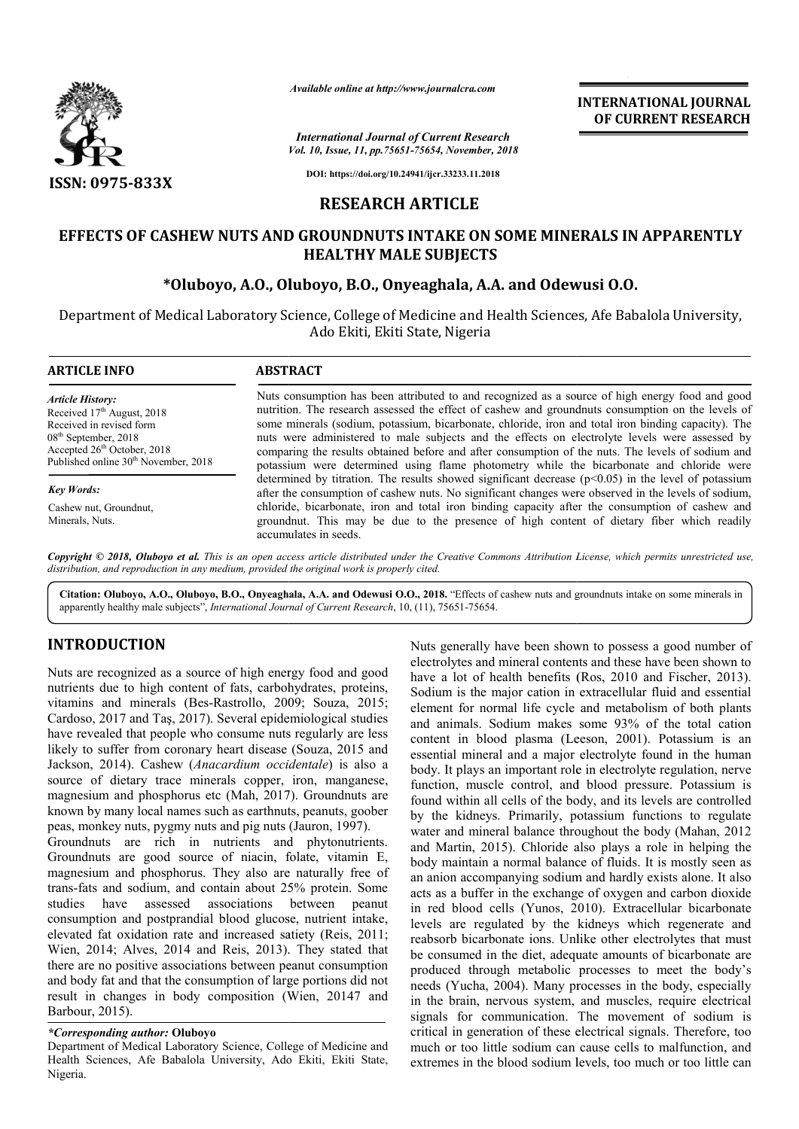

*Available online at http://www.journalcra.com*

*Vol. 10, Issue, 11, pp.75651-75654, November, 2018 International Journal of Current Research*

**INTERNATIONAL JOURNAL OF CURRENT RESEARCH**

**DOI: https://doi.org/10.24941/ijcr.33233.11.2018**

### **RESEARCH ARTICLE**

## EFFECTS OF CASHEW NUTS AND GROUNDNUTS INTAKE ON SOME MINERALS IN APPARENTLY **HEALTHY MALE SUBJECTS**

## **\*Oluboyo, A.O., Oluboyo, B.O B.O., Onyeaghala, A.A. and Odewusi O.O O.O.**

Department of Medical Laboratory Science, College of Medicine and Health Sciences, Afe Babalola University, Ado Ekiti, Ekiti State, Nigeria

| <b>ARTICLE INFO</b>                              | <b>ABSTRACT</b>                                                                                                                                                                                              |  |  |  |
|--------------------------------------------------|--------------------------------------------------------------------------------------------------------------------------------------------------------------------------------------------------------------|--|--|--|
| <b>Article History:</b>                          | Nuts consumption has been attributed to and recognized as a source of high energy food and good                                                                                                              |  |  |  |
| Received $17th$ August, 2018                     | nutrition. The research assessed the effect of cashew and groundnuts consumption on the levels of                                                                                                            |  |  |  |
| Received in revised form                         | some minerals (sodium, potassium, bicarbonate, chloride, iron and total iron binding capacity). The                                                                                                          |  |  |  |
| $08th$ September, 2018                           | nuts were administered to male subjects and the effects on electrolyte levels were assessed by                                                                                                               |  |  |  |
| Accepted $26th$ October, 2018                    | comparing the results obtained before and after consumption of the nuts. The levels of sodium and                                                                                                            |  |  |  |
| Published online 30 <sup>th</sup> November, 2018 | potassium were determined using flame photometry while the bicarbonate and chloride were                                                                                                                     |  |  |  |
| <b>Key Words:</b>                                | determined by titration. The results showed significant decrease $(p<0.05)$ in the level of potassium<br>after the consumption of cashew nuts. No significant changes were observed in the levels of sodium, |  |  |  |
| Cashew nut, Groundnut,                           | chloride, bicarbonate, iron and total iron binding capacity after the consumption of cashew and                                                                                                              |  |  |  |
| Minerals, Nuts.                                  | groundnut. This may be due to the presence of high content of dietary fiber which readily                                                                                                                    |  |  |  |

Copyright © 2018, Oluboyo et al. This is an open access article distributed under the Creative Commons Attribution License, which permits unrestricted use, *distribution, and reproduction in any medium, provided the original work is properly cited.*

accumulates in seeds.

Citation: Oluboyo, A.O., Oluboyo, B.O., Onyeaghala, A.A. and Odewusi O.O., 2018. "Effects of cashew nuts and groundnuts intake on some minerals in apparently healthy male subjects", *International Journal of Current Research* , 10, (11), 75651-75654.

# **INTRODUCTION**

Nuts are recognized as a source of high energy food and good nutrients due to high content of fats, carbohydrates, proteins, vitamins and minerals (Bes-Rastrollo, 2009; Souza, 2015; Cardoso, 2017 and Taş, 2017). Several epidemiological studies have revealed that people who consume nuts regularly are less vitamins and minerals (Bes-Rastrollo, 2009; Souza, 2015; Cardoso, 2017 and Taş, 2017). Several epidemiological studies have revealed that people who consume nuts regularly are less likely to suffer from coronary heart dise Jackson, 2014). Cashew (*Anacardium occidentale* ) is also a source of dietary trace minerals copper, iron, manganese, source of dietary trace minerals copper, iron, manganese, magnesium and phosphorus etc (Mah, 2017). Groundnuts are known by many local names such as earthnuts, peanuts, goober peas, monkey nuts, pygmy nuts and pig nuts (Jauron, 1997).

Groundnuts are rich in nutrients and phytonutrients. Groundnuts are good source of niacin, folate, vitamin E, magnesium and phosphorus. They also are naturally free of trans-fats and sodium, and contain about 25% protein. Some studies have assessed associations between peanut consumption and postprandial blood glucose, nutrient intake, elevated fat oxidation rate and increased satiety (Reis. 2011: Wien, 2014; Alves, 2014 and Reis, 2013). They stated that there are no positive associations between peanut consumption and body fat and that the consumption of large portions did not result in changes in body composition (Wien, 20147 and Barbour, 2015). fats and sodium, and contain about 25% protein. Some<br>s have assessed associations between peanut<br>mption and postprandial blood glucose, nutrient intake,<br>ed fat oxidation rate and increased satiety (Reis, 2011; n They stated that<br>eanut consumption<br>ge portions did not<br>Wien, 20147 and

#### *\*Corresponding author:* **Oluboyo**

Nuts generally have been shown to possess a good number of electrolytes and mineral contents and these have been shown to Nuts generally have been shown to possess a good number of electrolytes and mineral contents and these have been shown to have a lot of health benefits (Ros, 2010 and Fischer, 2013). Sodium is the major cation in extracellular fluid and essential element for normal life cycle and metabolism of both plants and animals. Sodium makes some 93% of the total cation content in blood plasma (Leeson, 2001). Potassium is an essential mineral and a major electrolyte found in the human body. It plays an important role in electrolyte regulation, nerve function, muscle control, and blood pressure. Potassium is found within all cells of the body, and its levels are controlled by the kidneys. Primarily, potassium functions to regulate water and mineral balance throughout the body (Mahan, 2012) and Martin, 2015). Chloride also plays a role in helping the body maintain a normal balance of fluids. It is mostly seen as an anion accompanying sodium and hardly exists alone. It also and Martin, 2015). Chloride also plays a role in helping the body maintain a normal balance of fluids. It is mostly seen as an anion accompanying sodium and hardly exists alone. It also acts as a buffer in the exchange of in red blood cells (Yunos, 2010) , 2010). Extracellular bicarbonate levels are regulated by the kidneys which regenerate and reabsorb bicarbonate ions. Unlike other electrolytes that must levels are regulated by the kidneys which regenerate and reabsorb bicarbonate ions. Unlike other electrolytes that must be consumed in the diet, adequate amounts of bicarbonate are produced through metabolic processes to meet the body's needs (Yucha, 2004). Many processes in the body, especially in the brain, nervous system, and muscles, require electrical signals for communication. The movement of sodium is critical in generation of these electrical signals. Therefore, too much or too little sodium can cause cells to malfunction, and extremes in the blood sodium levels, too much or too little can normal life cycle and metabolism of both plants<br>Sodium makes some 93% of the total cation<br>plood plasma (Leeson, 2001). Potassium is an ential mineral and a major electrolyte found in the human<br>y. It plays an important role in electrolyte regulation, nerve<br>tition, muscle control, and blood pressure. Potassium is<br>id within all cells of the body, and its lev **INTERNATIONAL JOURNAL TOWAL SET THE CONSUMER CONSUMERATES AND ASSEMBLY THE MOVEM CONSUMER THE CONSUMER THE CONSUMER SET CONSUMER THE CONSUMER SET CONSUMER THE CONSUMERATE CONSUMERATE CONSUMERATE CONSUMERATES III, and CONS** 

Department of Medical Laboratory Science, College of Medicine and Health Sciences, Afe Babalola University, Ado Ekiti, Ekiti State, Nigeria.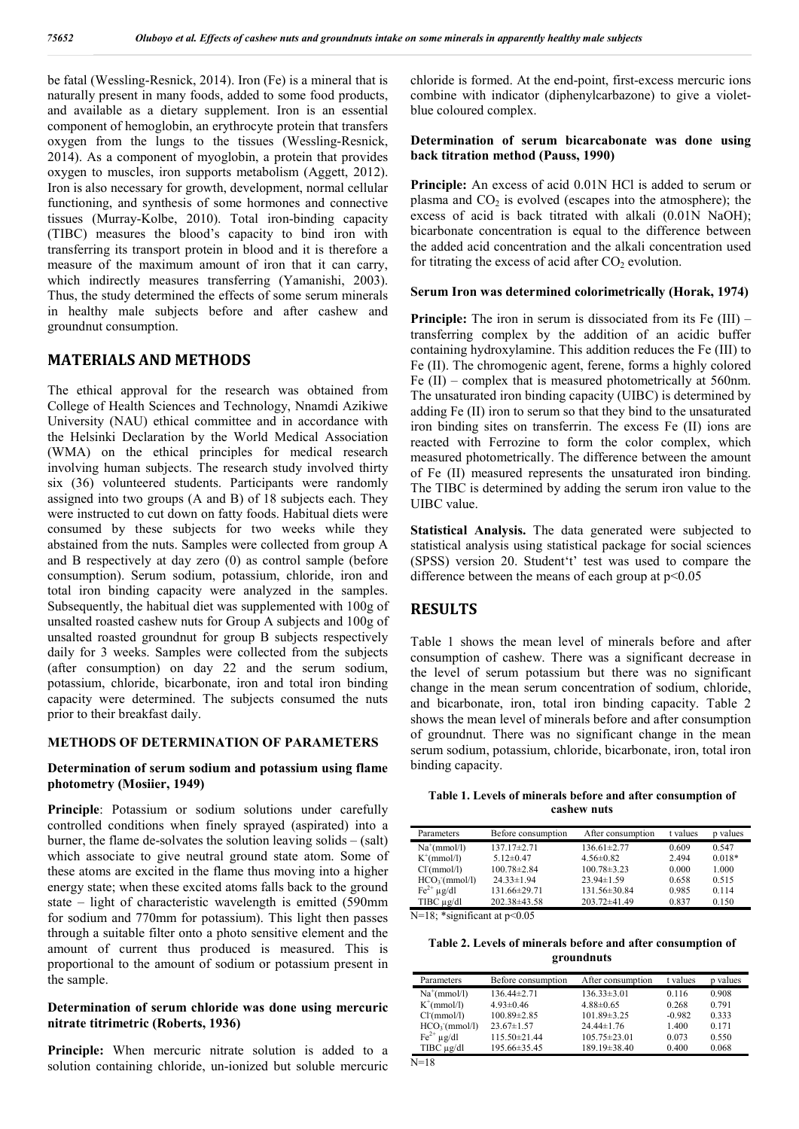be fatal (Wessling-Resnick, 2014). Iron (Fe) is a mineral that is naturally present in many foods, added to some food products, and available as a dietary supplement. Iron is an essential component of hemoglobin, an erythrocyte protein that transfers oxygen from the lungs to the tissues (Wessling-Resnick, 2014). As a component of myoglobin, a protein that provides oxygen to muscles, iron supports metabolism (Aggett, 2012). Iron is also necessary for growth, development, normal cellular functioning, and synthesis of some hormones and connective tissues (Murray-Kolbe, 2010). Total iron-binding capacity (TIBC) measures the blood's capacity to bind iron with transferring its transport protein in blood and it is therefore a measure of the maximum amount of iron that it can carry, which indirectly measures transferring (Yamanishi, 2003). Thus, the study determined the effects of some serum minerals in healthy male subjects before and after cashew and groundnut consumption.

### **MATERIALS AND METHODS**

The ethical approval for the research was obtained from College of Health Sciences and Technology, Nnamdi Azikiwe University (NAU) ethical committee and in accordance with the Helsinki Declaration by the World Medical Association (WMA) on the ethical principles for medical research involving human subjects. The research study involved thirty six (36) volunteered students. Participants were randomly assigned into two groups (A and B) of 18 subjects each. They were instructed to cut down on fatty foods. Habitual diets were consumed by these subjects for two weeks while they abstained from the nuts. Samples were collected from group A and B respectively at day zero (0) as control sample (before consumption). Serum sodium, potassium, chloride, iron and total iron binding capacity were analyzed in the samples. Subsequently, the habitual diet was supplemented with 100g of unsalted roasted cashew nuts for Group A subjects and 100g of unsalted roasted groundnut for group B subjects respectively daily for 3 weeks. Samples were collected from the subjects (after consumption) on day 22 and the serum sodium, potassium, chloride, bicarbonate, iron and total iron binding capacity were determined. The subjects consumed the nuts prior to their breakfast daily.

#### **METHODS OF DETERMINATION OF PARAMETERS**

#### **Determination of serum sodium and potassium using flame photometry (Mosiier, 1949)**

**Principle**: Potassium or sodium solutions under carefully controlled conditions when finely sprayed (aspirated) into a burner, the flame de-solvates the solution leaving solids – (salt) which associate to give neutral ground state atom. Some of these atoms are excited in the flame thus moving into a higher energy state; when these excited atoms falls back to the ground state – light of characteristic wavelength is emitted (590mm for sodium and 770mm for potassium). This light then passes through a suitable filter onto a photo sensitive element and the amount of current thus produced is measured. This is proportional to the amount of sodium or potassium present in the sample.

#### **Determination of serum chloride was done using mercuric nitrate titrimetric (Roberts, 1936)**

**Principle:** When mercuric nitrate solution is added to a solution containing chloride, un-ionized but soluble mercuric

chloride is formed. At the end-point, first-excess mercuric ions combine with indicator (diphenylcarbazone) to give a violetblue coloured complex.

### **Determination of serum bicarcabonate was done using back titration method (Pauss, 1990)**

**Principle:** An excess of acid 0.01N HCl is added to serum or plasma and  $CO<sub>2</sub>$  is evolved (escapes into the atmosphere); the excess of acid is back titrated with alkali (0.01N NaOH); bicarbonate concentration is equal to the difference between the added acid concentration and the alkali concentration used for titrating the excess of acid after  $CO<sub>2</sub>$  evolution.

#### **Serum Iron was determined colorimetrically (Horak, 1974)**

**Principle:** The iron in serum is dissociated from its Fe (III) – transferring complex by the addition of an acidic buffer containing hydroxylamine. This addition reduces the Fe (III) to Fe (II). The chromogenic agent, ferene, forms a highly colored Fe (II) – complex that is measured photometrically at 560nm. The unsaturated iron binding capacity (UIBC) is determined by adding Fe (II) iron to serum so that they bind to the unsaturated iron binding sites on transferrin. The excess Fe (II) ions are reacted with Ferrozine to form the color complex, which measured photometrically. The difference between the amount of Fe (II) measured represents the unsaturated iron binding. The TIBC is determined by adding the serum iron value to the UIBC value.

**Statistical Analysis.** The data generated were subjected to statistical analysis using statistical package for social sciences (SPSS) version 20. Student't' test was used to compare the difference between the means of each group at  $p<0.05$ 

### **RESULTS**

Table 1 shows the mean level of minerals before and after consumption of cashew. There was a significant decrease in the level of serum potassium but there was no significant change in the mean serum concentration of sodium, chloride, and bicarbonate, iron, total iron binding capacity. Table 2 shows the mean level of minerals before and after consumption of groundnut. There was no significant change in the mean serum sodium, potassium, chloride, bicarbonate, iron, total iron binding capacity.

**Table 1. Levels of minerals before and after consumption of cashew nuts**

| Parameters                      | Before consumption   | After consumption | t values | p values |
|---------------------------------|----------------------|-------------------|----------|----------|
| $Na^+(mmol/l)$                  | $137.17\pm 2.71$     | $136.61 \pm 2.77$ | 0.609    | 0.547    |
| $K^+(mmol/l)$                   | $5.12 \pm 0.47$      | $4.56 \pm 0.82$   | 2.494    | $0.018*$ |
| Cl <sub>T</sub> (mmol/l)        | $100.78 \pm 2.84$    | $100.78 \pm 3.23$ | 0.000    | 1.000    |
| HCO <sub>3</sub> (mmol/l)       | $24.33 \pm 1.94$     | $23.94 \pm 1.59$  | 0.658    | 0.515    |
| $\text{Fe}^{2+}$ ug/dl          | 131.66±29.71         | 131.56±30.84      | 0.985    | 0.114    |
| TIBC µg/dl                      | 202.38±43.58         | 203.72±41.49      | 0.837    | 0.150    |
| <b>1710 W</b><br>$\cdot$ $\sim$ | $\sim$ $\sim$ $\sim$ |                   |          |          |

N=18; \*significant at  $p<0.05$ 

 $N=18$ 

**Table 2. Levels of minerals before and after consumption of groundnuts**

| Parameters                | Before consumption | After consumption  | t values | values |
|---------------------------|--------------------|--------------------|----------|--------|
| $Na^+(mmol/l)$            | 136.44±2.71        | $136.33 \pm 3.01$  | 0.116    | 0.908  |
| $K^+(mmol/l)$             | $4.93 \pm 0.46$    | $4.88 \pm 0.65$    | 0.268    | 0.791  |
| Cl <sub>1</sub> (mmol/l)  | $100.89 \pm 2.85$  | $101.89 \pm 3.25$  | $-0.982$ | 0.333  |
| HCO <sub>3</sub> (mmol/l) | $23.67 \pm 1.57$   | $24.44 \pm 1.76$   | 1.400    | 0.171  |
| $Fe2+ \mu g/dl$           | 115.50±21.44       | $105.75 \pm 23.01$ | 0.073    | 0.550  |
| TIBC µg/dl                | 195.66±35.45       | 189.19±38.40       | 0.400    | 0.068  |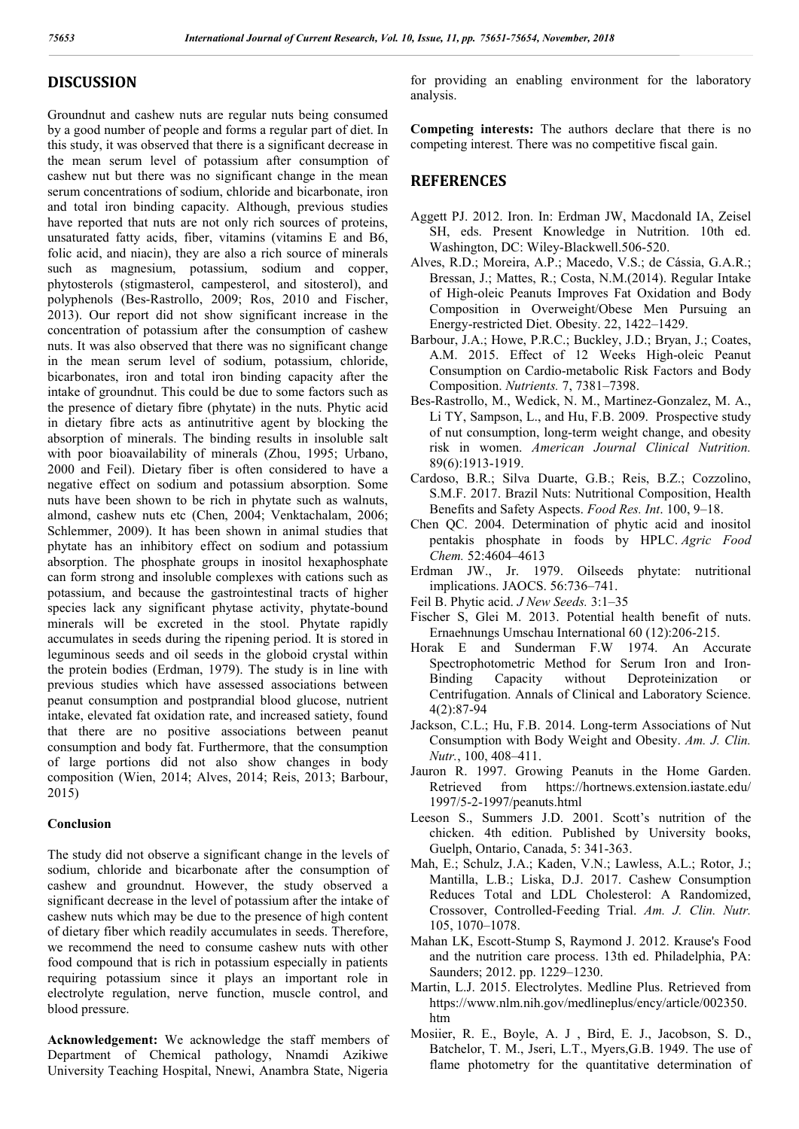## **DISCUSSION**

Groundnut and cashew nuts are regular nuts being consumed by a good number of people and forms a regular part of diet. In this study, it was observed that there is a significant decrease in the mean serum level of potassium after consumption of cashew nut but there was no significant change in the mean serum concentrations of sodium, chloride and bicarbonate, iron and total iron binding capacity. Although, previous studies have reported that nuts are not only rich sources of proteins, unsaturated fatty acids, fiber, vitamins (vitamins E and B6, folic acid, and niacin), they are also a rich source of minerals such as magnesium, potassium, sodium and copper, phytosterols (stigmasterol, campesterol, and sitosterol), and polyphenols (Bes-Rastrollo, 2009; Ros, 2010 and Fischer, 2013). Our report did not show significant increase in the concentration of potassium after the consumption of cashew nuts. It was also observed that there was no significant change in the mean serum level of sodium, potassium, chloride, bicarbonates, iron and total iron binding capacity after the intake of groundnut. This could be due to some factors such as the presence of dietary fibre (phytate) in the nuts. Phytic acid in dietary fibre acts as antinutritive agent by blocking the absorption of minerals. The binding results in insoluble salt with poor bioavailability of minerals (Zhou, 1995; Urbano, 2000 and Feil). Dietary fiber is often considered to have a negative effect on sodium and potassium absorption. Some nuts have been shown to be rich in phytate such as walnuts, almond, cashew nuts etc (Chen, 2004; Venktachalam, 2006; Schlemmer, 2009). It has been shown in animal studies that phytate has an inhibitory effect on sodium and potassium absorption. The phosphate groups in inositol hexaphosphate can form strong and insoluble complexes with cations such as potassium, and because the gastrointestinal tracts of higher species lack any significant phytase activity, phytate-bound minerals will be excreted in the stool. Phytate rapidly accumulates in seeds during the ripening period. It is stored in leguminous seeds and oil seeds in the globoid crystal within the protein bodies (Erdman, 1979). The study is in line with previous studies which have assessed associations between peanut consumption and postprandial blood glucose, nutrient intake, elevated fat oxidation rate, and increased satiety, found that there are no positive associations between peanut consumption and body fat. Furthermore, that the consumption of large portions did not also show changes in body composition (Wien, 2014; Alves, 2014; Reis, 2013; Barbour, 2015)

### **Conclusion**

The study did not observe a significant change in the levels of sodium, chloride and bicarbonate after the consumption of cashew and groundnut. However, the study observed a significant decrease in the level of potassium after the intake of cashew nuts which may be due to the presence of high content of dietary fiber which readily accumulates in seeds. Therefore, we recommend the need to consume cashew nuts with other food compound that is rich in potassium especially in patients requiring potassium since it plays an important role in electrolyte regulation, nerve function, muscle control, and blood pressure.

**Acknowledgement:** We acknowledge the staff members of Department of Chemical pathology, Nnamdi Azikiwe University Teaching Hospital, Nnewi, Anambra State, Nigeria

for providing an enabling environment for the laboratory analysis.

**Competing interests:** The authors declare that there is no competing interest. There was no competitive fiscal gain.

## **REFERENCES**

- Aggett PJ. 2012. Iron. In: Erdman JW, Macdonald IA, Zeisel SH, eds. Present Knowledge in Nutrition. 10th ed. Washington, DC: Wiley-Blackwell.506-520.
- Alves, R.D.; Moreira, A.P.; Macedo, V.S.; de Cássia, G.A.R.; Bressan, J.; Mattes, R.; Costa, N.M.(2014). Regular Intake of High-oleic Peanuts Improves Fat Oxidation and Body Composition in Overweight/Obese Men Pursuing an Energy-restricted Diet. Obesity. 22, 1422–1429.
- Barbour, J.A.; Howe, P.R.C.; Buckley, J.D.; Bryan, J.; Coates, A.M. 2015. Effect of 12 Weeks High-oleic Peanut Consumption on Cardio-metabolic Risk Factors and Body Composition. *Nutrients.* 7, 7381–7398.
- Bes-Rastrollo, M., Wedick, N. M., Martinez-Gonzalez, M. A., Li TY, Sampson, L., and Hu, F.B. 2009. Prospective study of nut consumption, long-term weight change, and obesity risk in women. *American Journal Clinical Nutrition.* 89(6):1913-1919.
- Cardoso, B.R.; Silva Duarte, G.B.; Reis, B.Z.; Cozzolino, S.M.F. 2017. Brazil Nuts: Nutritional Composition, Health Benefits and Safety Aspects. *Food Res. Int*. 100, 9–18.
- Chen QC. 2004. Determination of phytic acid and inositol pentakis phosphate in foods by HPLC. *Agric Food Chem.* 52:4604–4613
- Erdman JW., Jr. 1979. Oilseeds phytate: nutritional implications. JAOCS. 56:736–741.
- Feil B. Phytic acid. *J New Seeds.* 3:1–35
- Fischer S, Glei M. 2013. Potential health benefit of nuts. Ernaehnungs Umschau International 60 (12):206-215.
- Horak E and Sunderman F.W 1974. An Accurate Spectrophotometric Method for Serum Iron and Iron-Binding Capacity without Deproteinization or Centrifugation. Annals of Clinical and Laboratory Science. 4(2):87-94
- Jackson, C.L.; Hu, F.B. 2014. Long-term Associations of Nut Consumption with Body Weight and Obesity. *Am. J. Clin. Nutr.*, 100, 408–411.
- Jauron R. 1997. Growing Peanuts in the Home Garden. Retrieved from https://hortnews.extension.iastate.edu/ 1997/5-2-1997/peanuts.html
- Leeson S., Summers J.D. 2001. Scott's nutrition of the chicken. 4th edition. Published by University books, Guelph, Ontario, Canada, 5: 341-363.
- Mah, E.; Schulz, J.A.; Kaden, V.N.; Lawless, A.L.; Rotor, J.; Mantilla, L.B.; Liska, D.J. 2017. Cashew Consumption Reduces Total and LDL Cholesterol: A Randomized, Crossover, Controlled-Feeding Trial. *Am. J. Clin. Nutr.* 105, 1070–1078.
- Mahan LK, Escott-Stump S, Raymond J. 2012. Krause's Food and the nutrition care process. 13th ed. Philadelphia, PA: Saunders; 2012. pp. 1229–1230.
- Martin, L.J. 2015. Electrolytes. Medline Plus. Retrieved from https://www.nlm.nih.gov/medlineplus/ency/article/002350. htm
- Mosiier, R. E., Boyle, A. J , Bird, E. J., Jacobson, S. D., Batchelor, T. M., Jseri, L.T., Myers,G.B. 1949. The use of flame photometry for the quantitative determination of